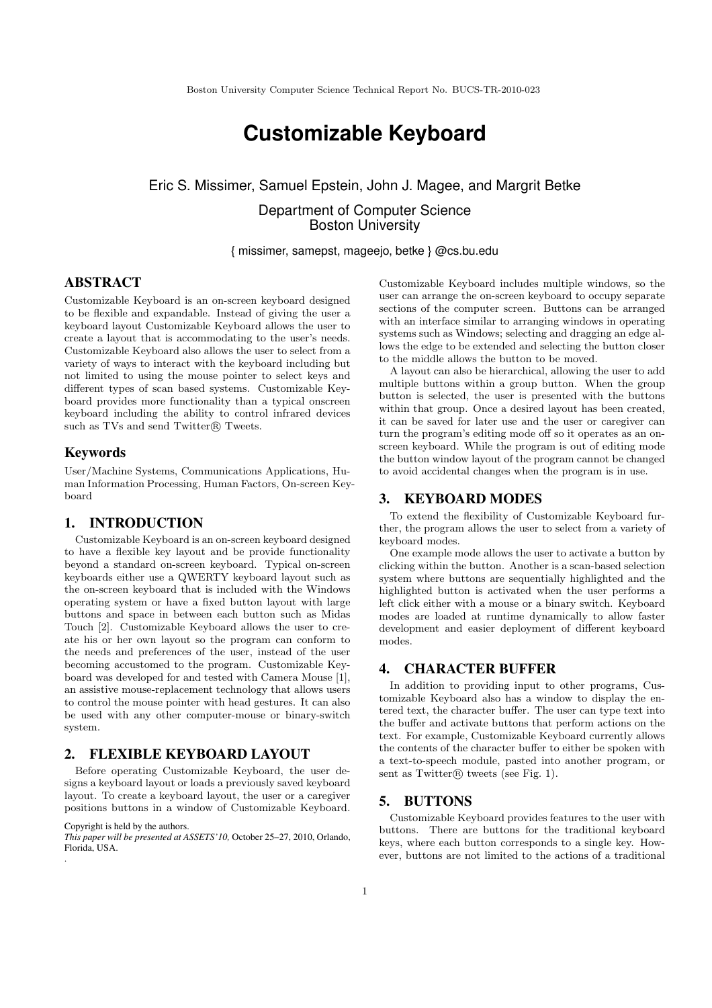# **Customizable Keyboard**

## Eric S. Missimer, Samuel Epstein, John J. Magee, and Margrit Betke

Department of Computer Science Boston University

{ missimer, samepst, mageejo, betke } @cs.bu.edu

## ABSTRACT

Customizable Keyboard is an on-screen keyboard designed to be flexible and expandable. Instead of giving the user a keyboard layout Customizable Keyboard allows the user to create a layout that is accommodating to the user's needs. Customizable Keyboard also allows the user to select from a variety of ways to interact with the keyboard including but not limited to using the mouse pointer to select keys and different types of scan based systems. Customizable Keyboard provides more functionality than a typical onscreen keyboard including the ability to control infrared devices such as TVs and send Twitter $\circledR$  Tweets.

#### Keywords

User/Machine Systems, Communications Applications, Human Information Processing, Human Factors, On-screen Keyboard

#### 1. INTRODUCTION

Customizable Keyboard is an on-screen keyboard designed to have a flexible key layout and be provide functionality beyond a standard on-screen keyboard. Typical on-screen keyboards either use a QWERTY keyboard layout such as the on-screen keyboard that is included with the Windows operating system or have a fixed button layout with large buttons and space in between each button such as Midas Touch [2]. Customizable Keyboard allows the user to create his or her own layout so the program can conform to the needs and preferences of the user, instead of the user becoming accustomed to the program. Customizable Keyboard was developed for and tested with Camera Mouse [1], an assistive mouse-replacement technology that allows users to control the mouse pointer with head gestures. It can also be used with any other computer-mouse or binary-switch system.

### 2. FLEXIBLE KEYBOARD LAYOUT

Before operating Customizable Keyboard, the user designs a keyboard layout or loads a previously saved keyboard layout. To create a keyboard layout, the user or a caregiver positions buttons in a window of Customizable Keyboard.

#### Copyright is held by the authors.

*This paper will be presented at ASSETS'10,* October 25–27, 2010, Orlando, Florida, USA. .

Customizable Keyboard includes multiple windows, so the user can arrange the on-screen keyboard to occupy separate sections of the computer screen. Buttons can be arranged with an interface similar to arranging windows in operating systems such as Windows; selecting and dragging an edge allows the edge to be extended and selecting the button closer to the middle allows the button to be moved.

A layout can also be hierarchical, allowing the user to add multiple buttons within a group button. When the group button is selected, the user is presented with the buttons within that group. Once a desired layout has been created, it can be saved for later use and the user or caregiver can turn the program's editing mode off so it operates as an onscreen keyboard. While the program is out of editing mode the button window layout of the program cannot be changed to avoid accidental changes when the program is in use.

#### 3. KEYBOARD MODES

To extend the flexibility of Customizable Keyboard further, the program allows the user to select from a variety of keyboard modes.

One example mode allows the user to activate a button by clicking within the button. Another is a scan-based selection system where buttons are sequentially highlighted and the highlighted button is activated when the user performs a left click either with a mouse or a binary switch. Keyboard modes are loaded at runtime dynamically to allow faster development and easier deployment of different keyboard modes.

#### 4. CHARACTER BUFFER

In addition to providing input to other programs, Customizable Keyboard also has a window to display the entered text, the character buffer. The user can type text into the buffer and activate buttons that perform actions on the text. For example, Customizable Keyboard currently allows the contents of the character buffer to either be spoken with a text-to-speech module, pasted into another program, or sent as  $Twitter(\mathbb{R})$  tweets (see Fig. 1).

#### 5. BUTTONS

Customizable Keyboard provides features to the user with buttons. There are buttons for the traditional keyboard keys, where each button corresponds to a single key. However, buttons are not limited to the actions of a traditional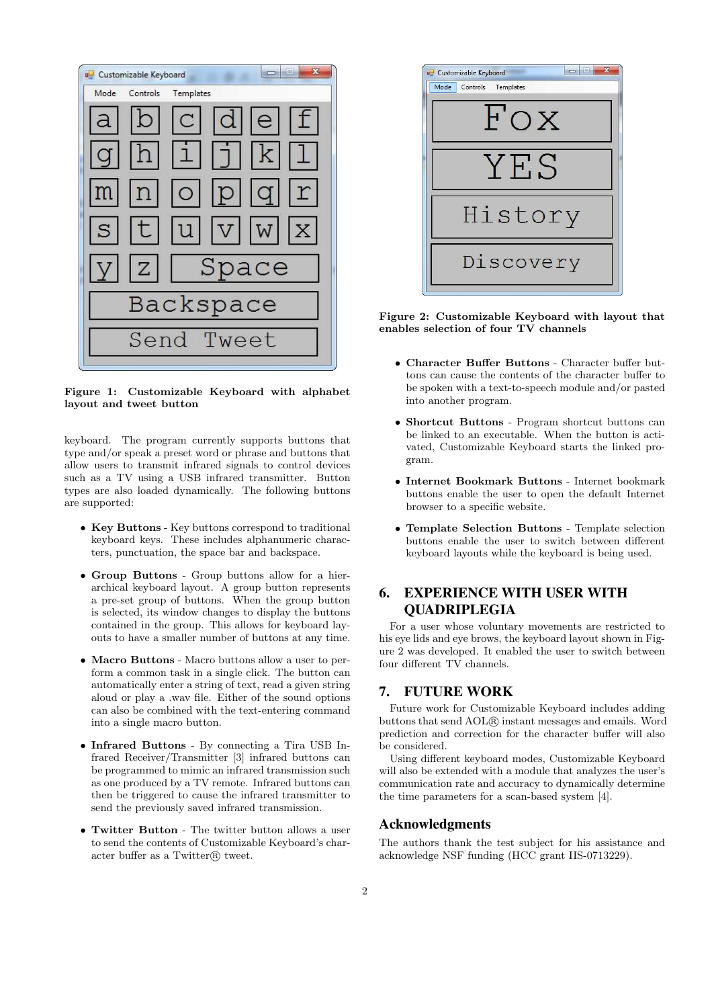

Figure 1: Customizable Keyboard with alphabet layout and tweet button

keyboard. The program currently supports buttons that type and/or speak a preset word or phrase and buttons that allow users to transmit infrared signals to control devices such as a TV using a USB infrared transmitter. Button types are also loaded dynamically. The following buttons are supported:

- Key Buttons Key buttons correspond to traditional keyboard keys. These includes alphanumeric characters, punctuation, the space bar and backspace.
- Group Buttons Group buttons allow for a hierarchical keyboard layout. A group button represents a pre-set group of buttons. When the group button is selected, its window changes to display the buttons contained in the group. This allows for keyboard layouts to have a smaller number of buttons at any time.
- Macro Buttons Macro buttons allow a user to perform a common task in a single click. The button can automatically enter a string of text, read a given string aloud or play a .wav file. Either of the sound options can also be combined with the text-entering command into a single macro button.
- Infrared Buttons By connecting a Tira USB Infrared Receiver/Transmitter [3] infrared buttons can be programmed to mimic an infrared transmission such as one produced by a TV remote. Infrared buttons can then be triggered to cause the infrared transmitter to send the previously saved infrared transmission.
- Twitter Button The twitter button allows a user to send the contents of Customizable Keyboard's character buffer as a Twitter $\mathbb{R}$  tweet.



Figure 2: Customizable Keyboard with layout that enables selection of four TV channels

- Character Buffer Buttons Character buffer buttons can cause the contents of the character buffer to be spoken with a text-to-speech module and/or pasted into another program.
- Shortcut Buttons Program shortcut buttons can be linked to an executable. When the button is activated, Customizable Keyboard starts the linked program.
- Internet Bookmark Buttons Internet bookmark buttons enable the user to open the default Internet browser to a specific website.
- Template Selection Buttons Template selection buttons enable the user to switch between different keyboard layouts while the keyboard is being used.

## 6. EXPERIENCE WITH USER WITH QUADRIPLEGIA

For a user whose voluntary movements are restricted to his eye lids and eye brows, the keyboard layout shown in Figure 2 was developed. It enabled the user to switch between four different TV channels.

## 7. FUTURE WORK

Future work for Customizable Keyboard includes adding buttons that send AOL® instant messages and emails. Word prediction and correction for the character buffer will also be considered.

Using different keyboard modes, Customizable Keyboard will also be extended with a module that analyzes the user's communication rate and accuracy to dynamically determine the time parameters for a scan-based system [4].

#### Acknowledgments

The authors thank the test subject for his assistance and acknowledge NSF funding (HCC grant IIS-0713229).